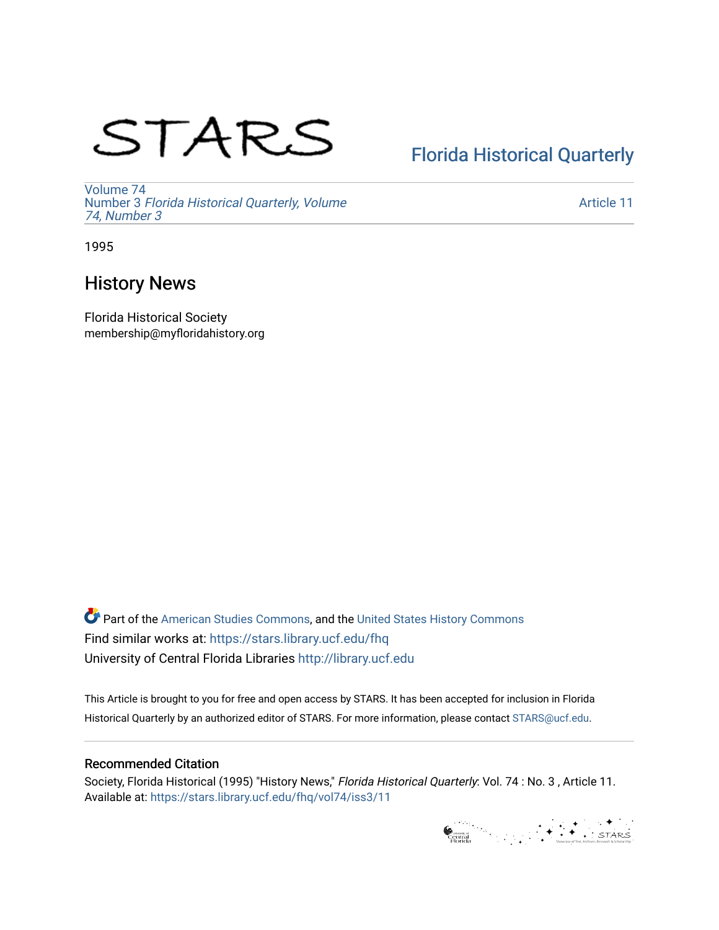# STARS

# [Florida Historical Quarterly](https://stars.library.ucf.edu/fhq)

[Volume 74](https://stars.library.ucf.edu/fhq/vol74) Number 3 [Florida Historical Quarterly, Volume](https://stars.library.ucf.edu/fhq/vol74/iss3)  [74, Number 3](https://stars.library.ucf.edu/fhq/vol74/iss3)

[Article 11](https://stars.library.ucf.edu/fhq/vol74/iss3/11) 

1995

## History News

Florida Historical Society membership@myfloridahistory.org

**C** Part of the [American Studies Commons](http://network.bepress.com/hgg/discipline/439?utm_source=stars.library.ucf.edu%2Ffhq%2Fvol74%2Fiss3%2F11&utm_medium=PDF&utm_campaign=PDFCoverPages), and the United States History Commons Find similar works at: <https://stars.library.ucf.edu/fhq> University of Central Florida Libraries [http://library.ucf.edu](http://library.ucf.edu/) 

This Article is brought to you for free and open access by STARS. It has been accepted for inclusion in Florida Historical Quarterly by an authorized editor of STARS. For more information, please contact [STARS@ucf.edu.](mailto:STARS@ucf.edu)

## Recommended Citation

Society, Florida Historical (1995) "History News," Florida Historical Quarterly: Vol. 74 : No. 3 , Article 11. Available at: [https://stars.library.ucf.edu/fhq/vol74/iss3/11](https://stars.library.ucf.edu/fhq/vol74/iss3/11?utm_source=stars.library.ucf.edu%2Ffhq%2Fvol74%2Fiss3%2F11&utm_medium=PDF&utm_campaign=PDFCoverPages)

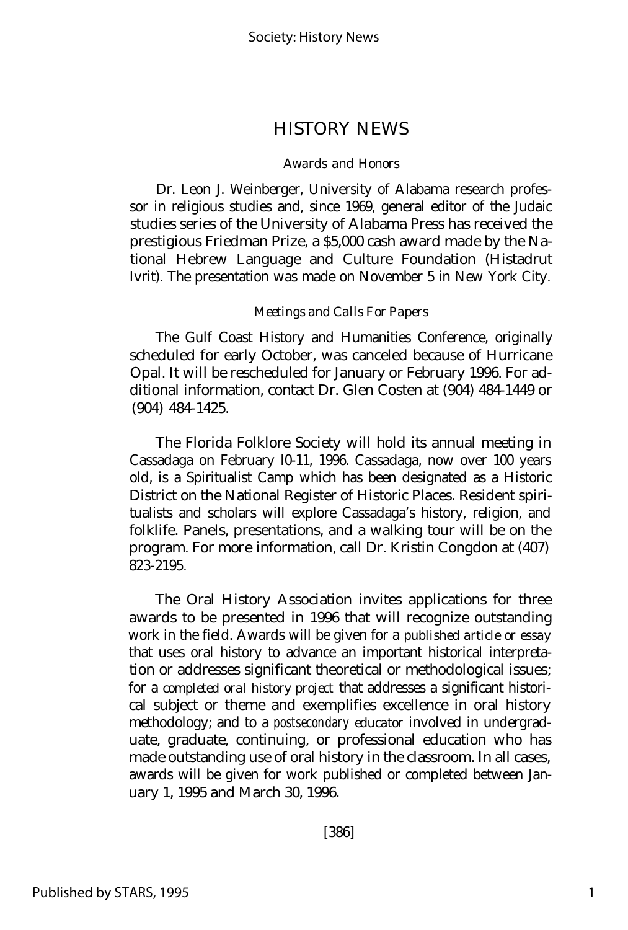### HISTORY NEWS

#### *Awards and Honors*

Dr. Leon J. Weinberger, University of Alabama research professor in religious studies and, since 1969, general editor of the Judaic studies series of the University of Alabama Press has received the prestigious Friedman Prize, a \$5,000 cash award made by the National Hebrew Language and Culture Foundation (Histadrut Ivrit). The presentation was made on November 5 in New York City.

#### *Meetings and Calls For Papers*

The Gulf Coast History and Humanities Conference, originally scheduled for early October, was canceled because of Hurricane Opal. It will be rescheduled for January or February 1996. For additional information, contact Dr. Glen Costen at (904) 484-1449 or (904) 484-1425.

The Florida Folklore Society will hold its annual meeting in Cassadaga on February l0-11, 1996. Cassadaga, now over 100 years old, is a Spiritualist Camp which has been designated as a Historic District on the National Register of Historic Places. Resident spiritualists and scholars will explore Cassadaga's history, religion, and folklife. Panels, presentations, and a walking tour will be on the program. For more information, call Dr. Kristin Congdon at (407) 823-2195.

The Oral History Association invites applications for three awards to be presented in 1996 that will recognize outstanding work in the field. Awards will be given for a *published article* or *essay* that uses oral history to advance an important historical interpretation or addresses significant theoretical or methodological issues; for a *completed oral history project* that addresses a significant historical subject or theme and exemplifies excellence in oral history methodology; and to a *postsecondary educator* involved in undergraduate, graduate, continuing, or professional education who has made outstanding use of oral history in the classroom. In all cases, awards will be given for work published or completed between January 1, 1995 and March 30, 1996.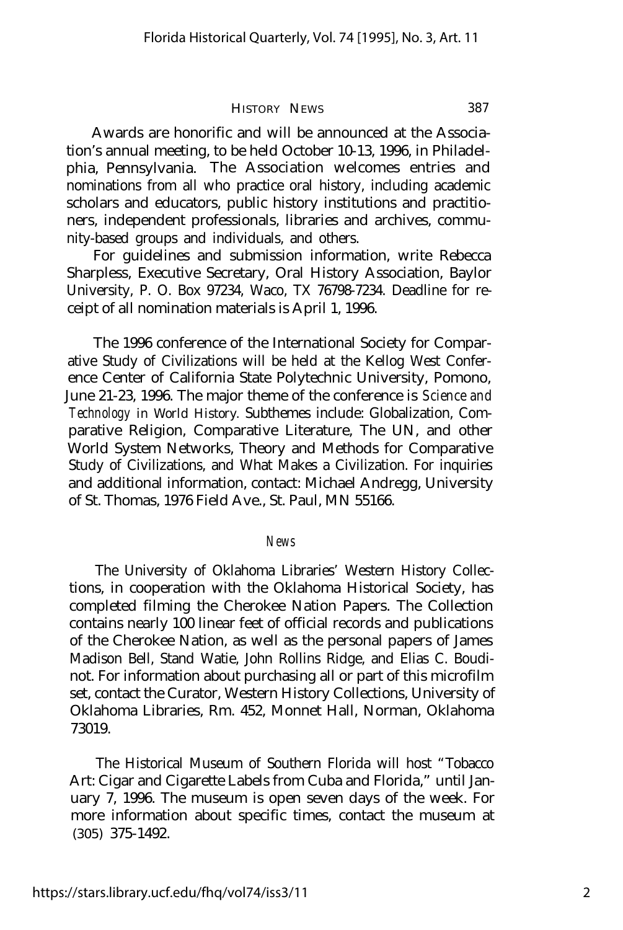#### HISTORY NEWS 387

Awards are honorific and will be announced at the Association's annual meeting, to be held October 10-13, 1996, in Philadelphia, Pennsylvania. The Association welcomes entries and nominations from all who practice oral history, including academic scholars and educators, public history institutions and practitioners, independent professionals, libraries and archives, community-based groups and individuals, and others.

For guidelines and submission information, write Rebecca Sharpless, Executive Secretary, Oral History Association, Baylor University, P. O. Box 97234, Waco, TX 76798-7234. Deadline for receipt of all nomination materials is April 1, 1996.

The 1996 conference of the International Society for Comparative Study of Civilizations will be held at the Kellog West Conference Center of California State Polytechnic University, Pomono, June 21-23, 1996. The major theme of the conference is *Science and Technology in World History.* Subthemes include: Globalization, Comparative Religion, Comparative Literature, The UN, and other World System Networks, Theory and Methods for Comparative Study of Civilizations, and What Makes a Civilization. For inquiries and additional information, contact: Michael Andregg, University of St. Thomas, 1976 Field Ave., St. Paul, MN 55166.

*News*

The University of Oklahoma Libraries' Western History Collections, in cooperation with the Oklahoma Historical Society, has completed filming the Cherokee Nation Papers. The Collection contains nearly 100 linear feet of official records and publications of the Cherokee Nation, as well as the personal papers of James Madison Bell, Stand Watie, John Rollins Ridge, and Elias C. Boudinot. For information about purchasing all or part of this microfilm set, contact the Curator, Western History Collections, University of Oklahoma Libraries, Rm. 452, Monnet Hall, Norman, Oklahoma 73019.

The Historical Museum of Southern Florida will host "Tobacco Art: Cigar and Cigarette Labels from Cuba and Florida," until January 7, 1996. The museum is open seven days of the week. For more information about specific times, contact the museum at (305) 375-1492.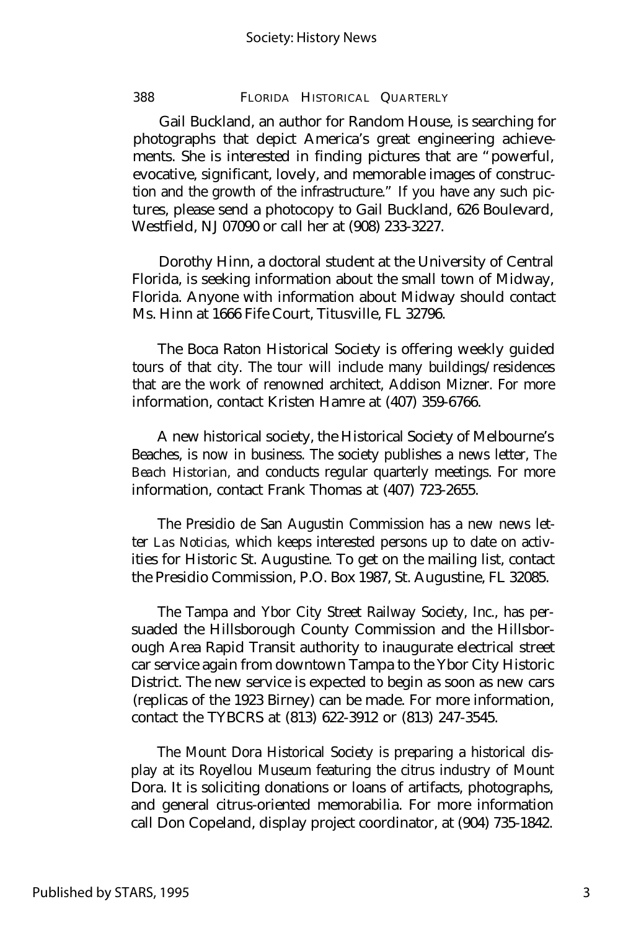#### 388 FLORIDA HISTORICAL QUARTERLY

Gail Buckland, an author for Random House, is searching for photographs that depict America's great engineering achievements. She is interested in finding pictures that are "powerful, evocative, significant, lovely, and memorable images of construction and the growth of the infrastructure." If you have any such pictures, please send a photocopy to Gail Buckland, 626 Boulevard, Westfield, NJ 07090 or call her at (908) 233-3227.

Dorothy Hinn, a doctoral student at the University of Central Florida, is seeking information about the small town of Midway, Florida. Anyone with information about Midway should contact Ms. Hinn at 1666 Fife Court, Titusville, FL 32796.

The Boca Raton Historical Society is offering weekly guided tours of that city. The tour will include many buildings/residences that are the work of renowned architect, Addison Mizner. For more information, contact Kristen Hamre at (407) 359-6766.

A new historical society, the Historical Society of Melbourne's Beaches, is now in business. The society publishes a news letter, *The Beach Historian,* and conducts regular quarterly meetings. For more information, contact Frank Thomas at (407) 723-2655.

The Presidio de San Augustin Commission has a new news letter *Las Noticias,* which keeps interested persons up to date on activities for Historic St. Augustine. To get on the mailing list, contact the Presidio Commission, P.O. Box 1987, St. Augustine, FL 32085.

The Tampa and Ybor City Street Railway Society, Inc., has persuaded the Hillsborough County Commission and the Hillsborough Area Rapid Transit authority to inaugurate electrical street car service again from downtown Tampa to the Ybor City Historic District. The new service is expected to begin as soon as new cars (replicas of the 1923 Birney) can be made. For more information, contact the TYBCRS at (813) 622-3912 or (813) 247-3545.

The Mount Dora Historical Society is preparing a historical display at its Royellou Museum featuring the citrus industry of Mount Dora. It is soliciting donations or loans of artifacts, photographs, and general citrus-oriented memorabilia. For more information call Don Copeland, display project coordinator, at (904) 735-1842.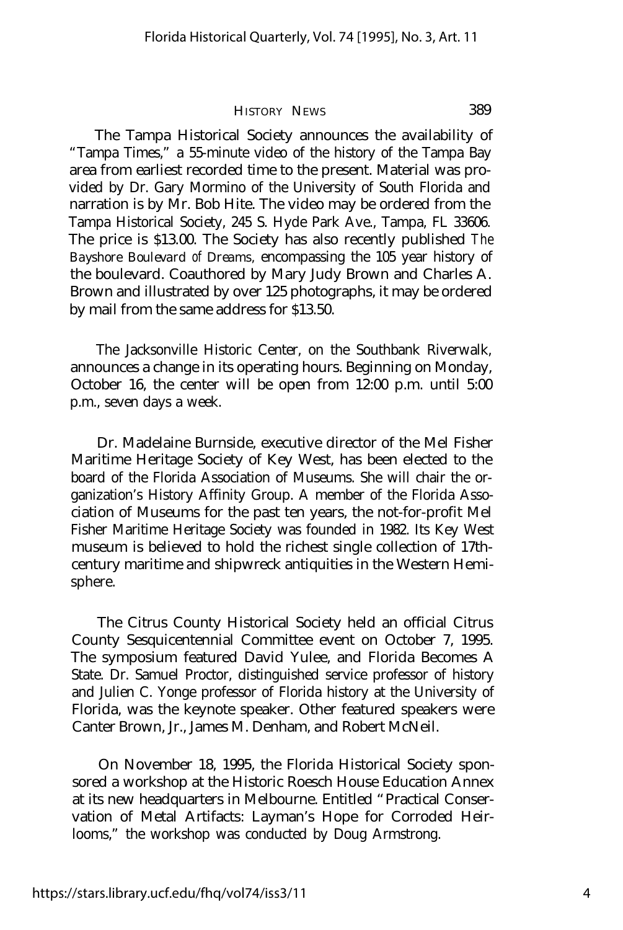#### HISTORY NEWS 389

The Tampa Historical Society announces the availability of "Tampa Times," a 55-minute video of the history of the Tampa Bay area from earliest recorded time to the present. Material was provided by Dr. Gary Mormino of the University of South Florida and narration is by Mr. Bob Hite. The video may be ordered from the Tampa Historical Society, 245 S. Hyde Park Ave., Tampa, FL 33606. The price is \$13.00. The Society has also recently published *The Bayshore Boulevard of Dreams,* encompassing the 105 year history of the boulevard. Coauthored by Mary Judy Brown and Charles A. Brown and illustrated by over 125 photographs, it may be ordered by mail from the same address for \$13.50.

The Jacksonville Historic Center, on the Southbank Riverwalk, announces a change in its operating hours. Beginning on Monday, October 16, the center will be open from 12:00 p.m. until 5:00 p.m., seven days a week.

Dr. Madelaine Burnside, executive director of the Mel Fisher Maritime Heritage Society of Key West, has been elected to the board of the Florida Association of Museums. She will chair the organization's History Affinity Group. A member of the Florida Association of Museums for the past ten years, the not-for-profit Mel Fisher Maritime Heritage Society was founded in 1982. Its Key West museum is believed to hold the richest single collection of 17thcentury maritime and shipwreck antiquities in the Western Hemisphere.

The Citrus County Historical Society held an official Citrus County Sesquicentennial Committee event on October 7, 1995. The symposium featured David Yulee, and Florida Becomes A State. Dr. Samuel Proctor, distinguished service professor of history and Julien C. Yonge professor of Florida history at the University of Florida, was the keynote speaker. Other featured speakers were Canter Brown, Jr., James M. Denham, and Robert McNeil.

On November 18, 1995, the Florida Historical Society sponsored a workshop at the Historic Roesch House Education Annex at its new headquarters in Melbourne. Entitled "Practical Conservation of Metal Artifacts: Layman's Hope for Corroded Heirlooms," the workshop was conducted by Doug Armstrong.